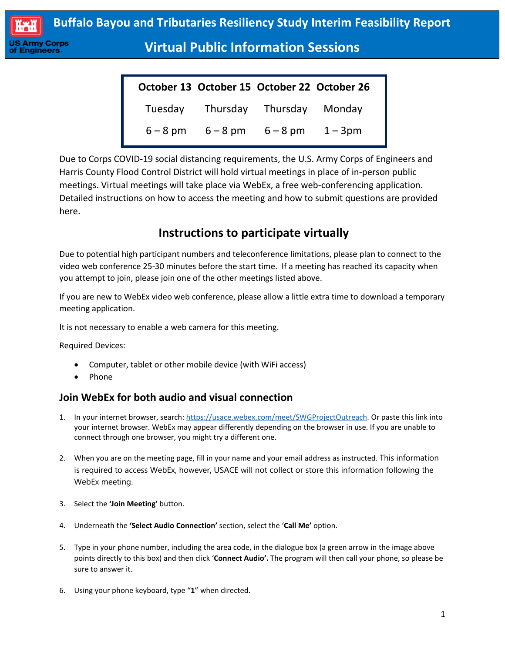

**Virtual Public Information Sessions**

|  | October 13 October 15 October 22 October 26 |  |
|--|---------------------------------------------|--|
|  | Tuesday Thursday Thursday Monday            |  |
|  | $6 - 8$ pm $6 - 8$ pm $6 - 8$ pm $1 - 3$ pm |  |

Due to Corps COVID-19 social distancing requirements, the U.S. Army Corps of Engineers and Harris County Flood Control District will hold virtual meetings in place of in-person public meetings. Virtual meetings will take place via WebEx, a free web-conferencing application. Detailed instructions on how to access the meeting and how to submit questions are provided here.

# **Instructions to participate virtually**

Due to potential high participant numbers and teleconference limitations, please plan to connect to the video web conference 25-30 minutes before the start time. If a meeting has reached its capacity when you attempt to join, please join one of the other meetings listed above.

If you are new to WebEx video web conference, please allow a little extra time to download a temporary meeting application.

It is not necessary to enable a web camera for this meeting.

Required Devices:

ngineers

- Computer, tablet or other mobile device (with WiFi access)
- Phone

## **Join WebEx for both audio and visual connection**

- 1. In your internet browser, search: [https://usace.webex.com/meet/SWGProjectOutreach.](https://usace.webex.com/meet/SWGProjectOutreach) Or paste this link into your internet browser. WebEx may appear differently depending on the browser in use. If you are unable to connect through one browser, you might try a different one.
- 2. When you are on the meeting page, fill in your name and your email address as instructed. This information is required to access WebEx, however, USACE will not collect or store this information following the WebEx meeting.
- 3. Select the **'Join Meeting'** button.
- 4. Underneath the **'Select Audio Connection'** section, select the '**Call Me'** option.
- 5. Type in your phone number, including the area code, in the dialogue box (a green arrow in the image above points directly to this box) and then click '**Connect Audio'.** The program will then call your phone, so please be sure to answer it.
- 6. Using your phone keyboard, type "**1**" when directed.